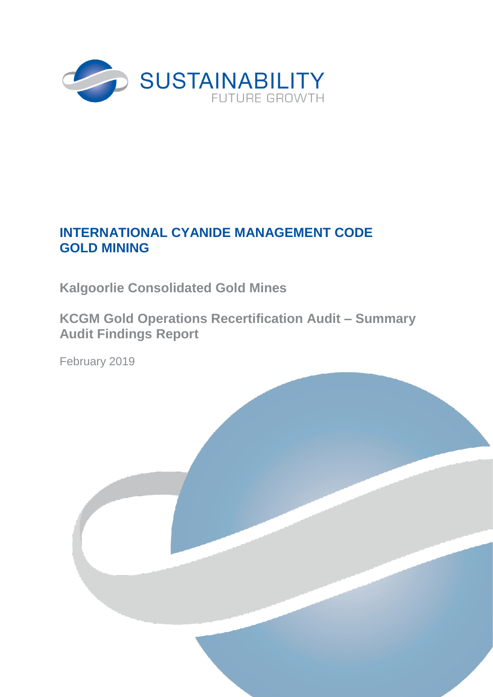

# **INTERNATIONAL CYANIDE MANAGEMENT CODE GOLD MINING**

**Kalgoorlie Consolidated Gold Mines**

**KCGM Gold Operations Recertification Audit – Summary Audit Findings Report**

February 2019

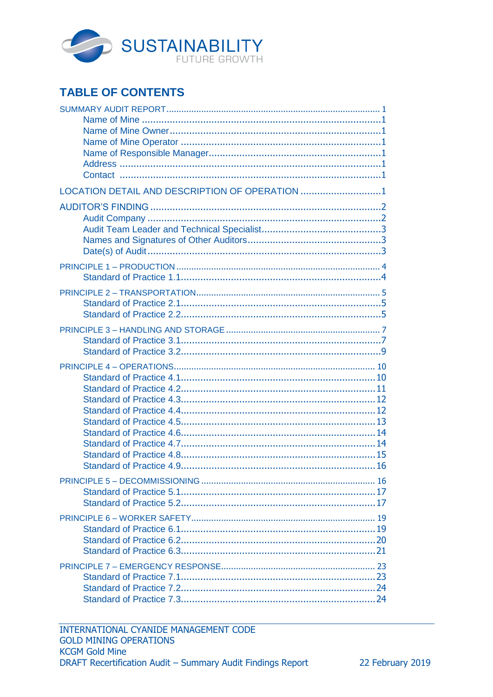

# **TABLE OF CONTENTS**

| LOCATION DETAIL AND DESCRIPTION OF OPERATION 1 |
|------------------------------------------------|
|                                                |
|                                                |
|                                                |
|                                                |
|                                                |
|                                                |
|                                                |
|                                                |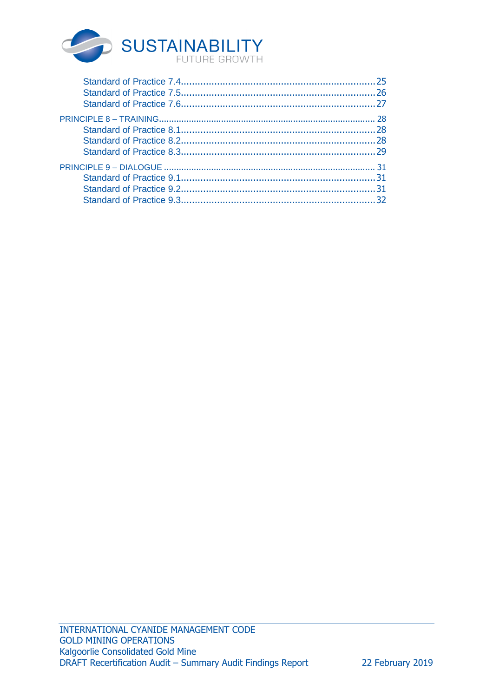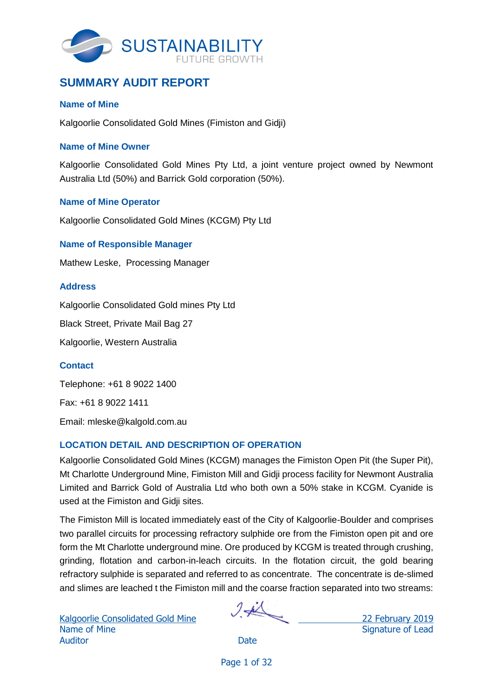

## <span id="page-3-0"></span>**SUMMARY AUDIT REPORT**

### <span id="page-3-1"></span>**Name of Mine**

Kalgoorlie Consolidated Gold Mines (Fimiston and Gidji)

### <span id="page-3-2"></span>**Name of Mine Owner**

Kalgoorlie Consolidated Gold Mines Pty Ltd, a joint venture project owned by Newmont Australia Ltd (50%) and Barrick Gold corporation (50%).

### <span id="page-3-3"></span>**Name of Mine Operator**

Kalgoorlie Consolidated Gold Mines (KCGM) Pty Ltd

### <span id="page-3-4"></span>**Name of Responsible Manager**

Mathew Leske, Processing Manager

### <span id="page-3-5"></span>**Address**

Kalgoorlie Consolidated Gold mines Pty Ltd

Black Street, Private Mail Bag 27

Kalgoorlie, Western Australia

### <span id="page-3-6"></span>**Contact**

Telephone: +61 8 9022 1400 Fax: +61 8 9022 1411 Email: mleske@kalgold.com.au

## <span id="page-3-7"></span>**LOCATION DETAIL AND DESCRIPTION OF OPERATION**

Kalgoorlie Consolidated Gold Mines (KCGM) manages the Fimiston Open Pit (the Super Pit), Mt Charlotte Underground Mine, Fimiston Mill and Gidji process facility for Newmont Australia Limited and Barrick Gold of Australia Ltd who both own a 50% stake in KCGM. Cyanide is used at the Fimiston and Gidji sites.

The Fimiston Mill is located immediately east of the City of Kalgoorlie-Boulder and comprises two parallel circuits for processing refractory sulphide ore from the Fimiston open pit and ore form the Mt Charlotte underground mine. Ore produced by KCGM is treated through crushing, grinding, flotation and carbon-in-leach circuits. In the flotation circuit, the gold bearing refractory sulphide is separated and referred to as concentrate. The concentrate is de-slimed and slimes are leached t the Fimiston mill and the coarse fraction separated into two streams: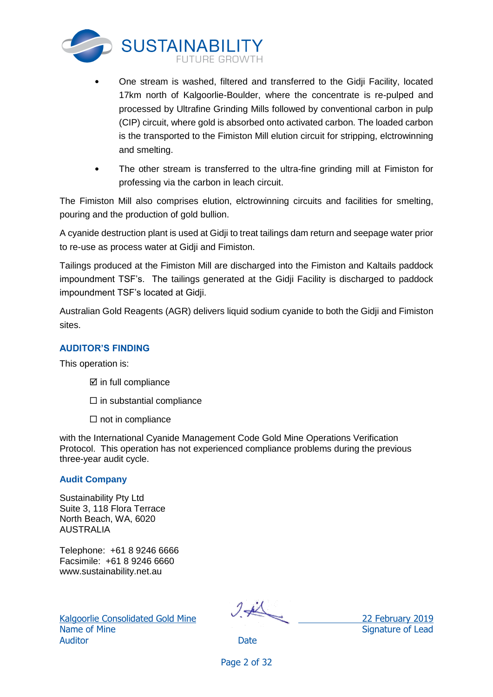

- One stream is washed, filtered and transferred to the Gidji Facility, located 17km north of Kalgoorlie-Boulder, where the concentrate is re-pulped and processed by Ultrafine Grinding Mills followed by conventional carbon in pulp (CIP) circuit, where gold is absorbed onto activated carbon. The loaded carbon is the transported to the Fimiston Mill elution circuit for stripping, elctrowinning and smelting.
- The other stream is transferred to the ultra-fine grinding mill at Fimiston for professing via the carbon in leach circuit.

The Fimiston Mill also comprises elution, elctrowinning circuits and facilities for smelting, pouring and the production of gold bullion.

A cyanide destruction plant is used at Gidji to treat tailings dam return and seepage water prior to re-use as process water at Gidji and Fimiston.

Tailings produced at the Fimiston Mill are discharged into the Fimiston and Kaltails paddock impoundment TSF's. The tailings generated at the Gidji Facility is discharged to paddock impoundment TSF's located at Gidji.

Australian Gold Reagents (AGR) delivers liquid sodium cyanide to both the Gidji and Fimiston sites.

## <span id="page-4-0"></span>**AUDITOR'S FINDING**

This operation is:

- $\boxtimes$  in full compliance
- $\square$  in substantial compliance
- $\Box$  not in compliance

with the International Cyanide Management Code Gold Mine Operations Verification Protocol. This operation has not experienced compliance problems during the previous three-year audit cycle.

### <span id="page-4-1"></span>**Audit Company**

Sustainability Pty Ltd Suite 3, 118 Flora Terrace North Beach, WA, 6020 AUSTRALIA

Telephone: +61 8 9246 6666 Facsimile: +61 8 9246 6660 www.sustainability.net.au

Name of Mine Signature of Lead Auditor **Date** 

Kalgoorlie Consolidated Gold Mine 22 February 2019

Page 2 of 32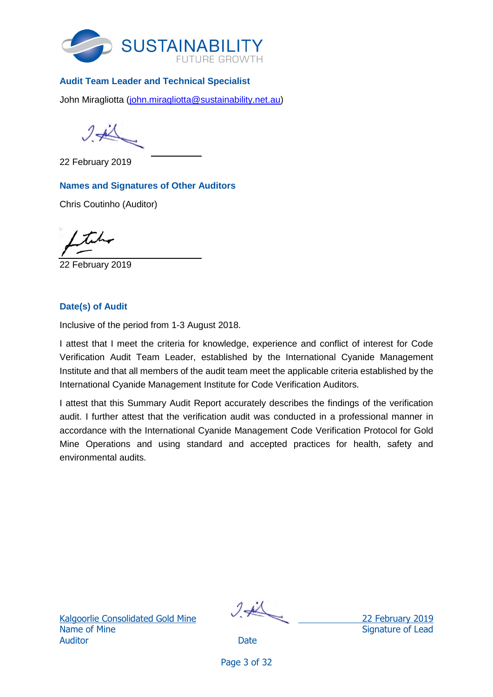

## <span id="page-5-0"></span>**Audit Team Leader and Technical Specialist**

John Miragliotta [\(john.miragliotta@sustainability.net.au\)](mailto:john.miragliotta@sustainability.net.au)

 $7 - 1$ 

22 February 2019

## <span id="page-5-1"></span>**Names and Signatures of Other Auditors**

Chris Coutinho (Auditor)

22 February 2019

## <span id="page-5-2"></span>**Date(s) of Audit**

Inclusive of the period from 1-3 August 2018.

I attest that I meet the criteria for knowledge, experience and conflict of interest for Code Verification Audit Team Leader, established by the International Cyanide Management Institute and that all members of the audit team meet the applicable criteria established by the International Cyanide Management Institute for Code Verification Auditors.

I attest that this Summary Audit Report accurately describes the findings of the verification audit. I further attest that the verification audit was conducted in a professional manner in accordance with the International Cyanide Management Code Verification Protocol for Gold Mine Operations and using standard and accepted practices for health, safety and environmental audits.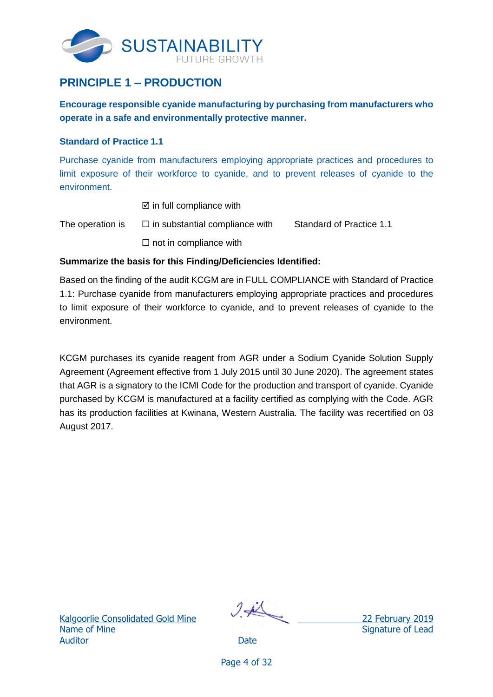

## <span id="page-6-0"></span>**PRINCIPLE 1 – PRODUCTION**

**Encourage responsible cyanide manufacturing by purchasing from manufacturers who operate in a safe and environmentally protective manner.**

### <span id="page-6-1"></span>**Standard of Practice 1.1**

Purchase cyanide from manufacturers employing appropriate practices and procedures to limit exposure of their workforce to cyanide, and to prevent releases of cyanide to the environment.

- $\boxtimes$  in full compliance with
- The operation is  $\square$  in substantial compliance with Standard of Practice 1.1  $\square$  not in compliance with

## **Summarize the basis for this Finding/Deficiencies Identified:**

Based on the finding of the audit KCGM are in FULL COMPLIANCE with Standard of Practice 1.1: Purchase cyanide from manufacturers employing appropriate practices and procedures to limit exposure of their workforce to cyanide, and to prevent releases of cyanide to the environment.

KCGM purchases its cyanide reagent from AGR under a Sodium Cyanide Solution Supply Agreement (Agreement effective from 1 July 2015 until 30 June 2020). The agreement states that AGR is a signatory to the ICMI Code for the production and transport of cyanide. Cyanide purchased by KCGM is manufactured at a facility certified as complying with the Code. AGR has its production facilities at Kwinana, Western Australia. The facility was recertified on 03 August 2017.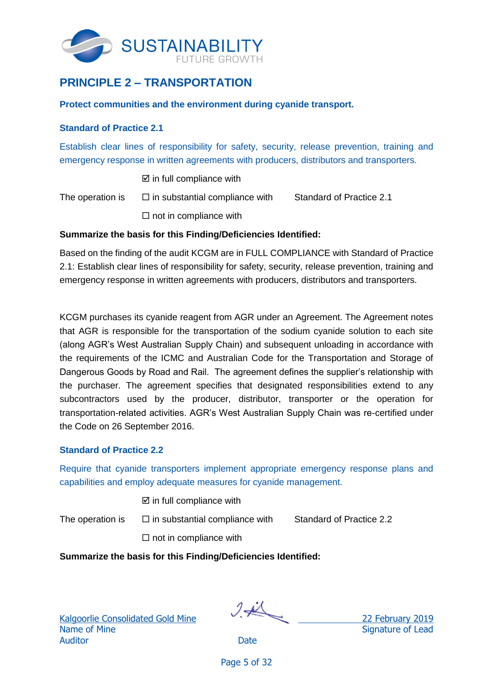

## <span id="page-7-0"></span>**PRINCIPLE 2 – TRANSPORTATION**

### **Protect communities and the environment during cyanide transport.**

#### <span id="page-7-1"></span>**Standard of Practice 2.1**

Establish clear lines of responsibility for safety, security, release prevention, training and emergency response in written agreements with producers, distributors and transporters.

 $\boxtimes$  in full compliance with

The operation is  $\square$  in substantial compliance with Standard of Practice 2.1

 $\square$  not in compliance with

#### **Summarize the basis for this Finding/Deficiencies Identified:**

Based on the finding of the audit KCGM are in FULL COMPLIANCE with Standard of Practice 2.1: Establish clear lines of responsibility for safety, security, release prevention, training and emergency response in written agreements with producers, distributors and transporters.

KCGM purchases its cyanide reagent from AGR under an Agreement. The Agreement notes that AGR is responsible for the transportation of the sodium cyanide solution to each site (along AGR's West Australian Supply Chain) and subsequent unloading in accordance with the requirements of the ICMC and Australian Code for the Transportation and Storage of Dangerous Goods by Road and Rail. The agreement defines the supplier's relationship with the purchaser. The agreement specifies that designated responsibilities extend to any subcontractors used by the producer, distributor, transporter or the operation for transportation-related activities. AGR's West Australian Supply Chain was re-certified under the Code on 26 September 2016.

### <span id="page-7-2"></span>**Standard of Practice 2.2**

Require that cyanide transporters implement appropriate emergency response plans and capabilities and employ adequate measures for cyanide management.

 $\boxtimes$  in full compliance with

The operation is  $\square$  in substantial compliance with Standard of Practice 2.2

 $\square$  not in compliance with

**Summarize the basis for this Finding/Deficiencies Identified:**

Kalgo<u>orlie Consolidated Gold Mine</u> 22 February 2019 Name of Mine Signature of Lead Auditor **Date** 

Page 5 of 32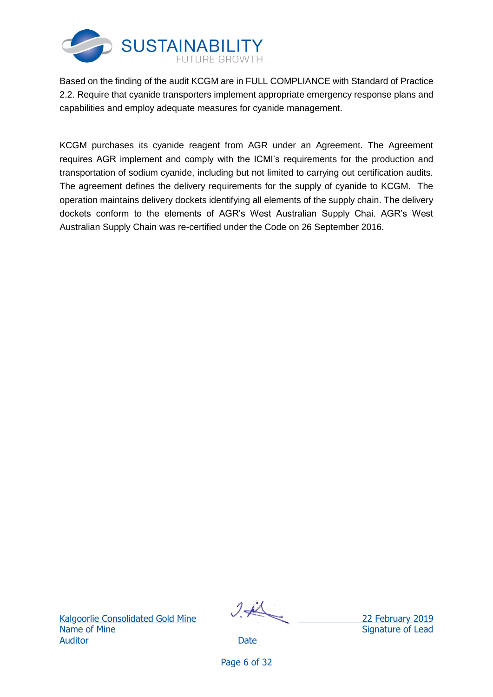

Based on the finding of the audit KCGM are in FULL COMPLIANCE with Standard of Practice 2.2. Require that cyanide transporters implement appropriate emergency response plans and capabilities and employ adequate measures for cyanide management.

KCGM purchases its cyanide reagent from AGR under an Agreement. The Agreement requires AGR implement and comply with the ICMI's requirements for the production and transportation of sodium cyanide, including but not limited to carrying out certification audits. The agreement defines the delivery requirements for the supply of cyanide to KCGM. The operation maintains delivery dockets identifying all elements of the supply chain. The delivery dockets conform to the elements of AGR's West Australian Supply Chai. AGR's West Australian Supply Chain was re-certified under the Code on 26 September 2016.

Name of Mine Signature of Lead Auditor **Date** 

Kalgoorlie Consolidated Gold Mine 22 February 2019

Page 6 of 32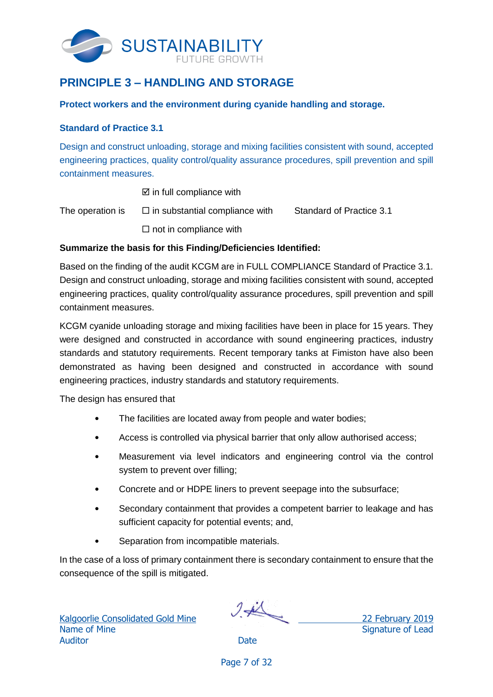

## <span id="page-9-0"></span>**PRINCIPLE 3 – HANDLING AND STORAGE**

### **Protect workers and the environment during cyanide handling and storage.**

### <span id="page-9-1"></span>**Standard of Practice 3.1**

Design and construct unloading, storage and mixing facilities consistent with sound, accepted engineering practices, quality control/quality assurance procedures, spill prevention and spill containment measures.

 $\boxtimes$  in full compliance with

The operation is  $\square$  in substantial compliance with Standard of Practice 3.1  $\Box$  not in compliance with

## **Summarize the basis for this Finding/Deficiencies Identified:**

Based on the finding of the audit KCGM are in FULL COMPLIANCE Standard of Practice 3.1. Design and construct unloading, storage and mixing facilities consistent with sound, accepted engineering practices, quality control/quality assurance procedures, spill prevention and spill containment measures.

KCGM cyanide unloading storage and mixing facilities have been in place for 15 years. They were designed and constructed in accordance with sound engineering practices, industry standards and statutory requirements. Recent temporary tanks at Fimiston have also been demonstrated as having been designed and constructed in accordance with sound engineering practices, industry standards and statutory requirements.

The design has ensured that

- The facilities are located away from people and water bodies;
- Access is controlled via physical barrier that only allow authorised access;
- Measurement via level indicators and engineering control via the control system to prevent over filling;
- Concrete and or HDPE liners to prevent seepage into the subsurface;
- Secondary containment that provides a competent barrier to leakage and has sufficient capacity for potential events; and,
- Separation from incompatible materials.

In the case of a loss of primary containment there is secondary containment to ensure that the consequence of the spill is mitigated.

Kalgoorlie Consolidated Gold Mine 22 February 2019 Name of Mine Signature of Lead Auditor **Date** 

Page 7 of 32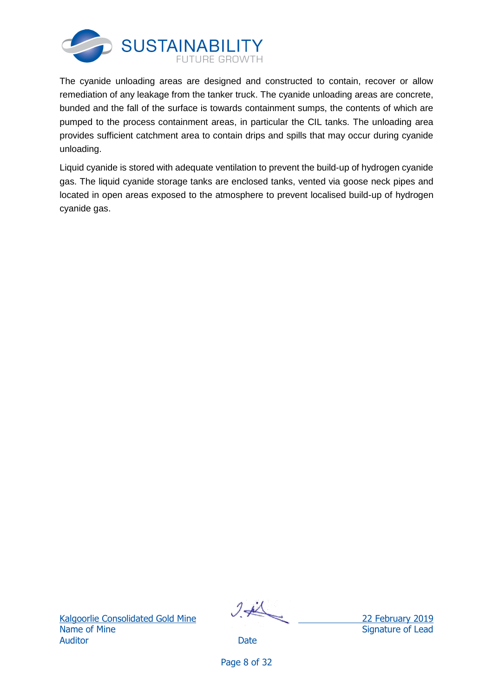

The cyanide unloading areas are designed and constructed to contain, recover or allow remediation of any leakage from the tanker truck. The cyanide unloading areas are concrete, bunded and the fall of the surface is towards containment sumps, the contents of which are pumped to the process containment areas, in particular the CIL tanks. The unloading area provides sufficient catchment area to contain drips and spills that may occur during cyanide unloading.

<span id="page-10-0"></span>Liquid cyanide is stored with adequate ventilation to prevent the build-up of hydrogen cyanide gas. The liquid cyanide storage tanks are enclosed tanks, vented via goose neck pipes and located in open areas exposed to the atmosphere to prevent localised build-up of hydrogen cyanide gas.

Kalgoorlie Consolidated Gold Mine 22 February 2019 Name of Mine Signature of Lead Auditor **Date** 

Page 8 of 32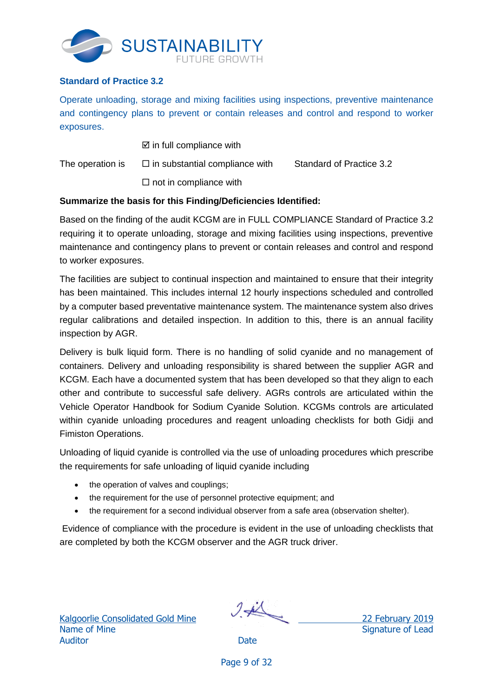

## **Standard of Practice 3.2**

Operate unloading, storage and mixing facilities using inspections, preventive maintenance and contingency plans to prevent or contain releases and control and respond to worker exposures.

 $\boxtimes$  in full compliance with

The operation is  $\square$  in substantial compliance with Standard of Practice 3.2

 $\square$  not in compliance with

## **Summarize the basis for this Finding/Deficiencies Identified:**

Based on the finding of the audit KCGM are in FULL COMPLIANCE Standard of Practice 3.2 requiring it to operate unloading, storage and mixing facilities using inspections, preventive maintenance and contingency plans to prevent or contain releases and control and respond to worker exposures.

The facilities are subject to continual inspection and maintained to ensure that their integrity has been maintained. This includes internal 12 hourly inspections scheduled and controlled by a computer based preventative maintenance system. The maintenance system also drives regular calibrations and detailed inspection. In addition to this, there is an annual facility inspection by AGR.

Delivery is bulk liquid form. There is no handling of solid cyanide and no management of containers. Delivery and unloading responsibility is shared between the supplier AGR and KCGM. Each have a documented system that has been developed so that they align to each other and contribute to successful safe delivery. AGRs controls are articulated within the Vehicle Operator Handbook for Sodium Cyanide Solution. KCGMs controls are articulated within cyanide unloading procedures and reagent unloading checklists for both Gidji and Fimiston Operations.

Unloading of liquid cyanide is controlled via the use of unloading procedures which prescribe the requirements for safe unloading of liquid cyanide including

- the operation of valves and couplings;
- the requirement for the use of personnel protective equipment; and
- the requirement for a second individual observer from a safe area (observation shelter).

Evidence of compliance with the procedure is evident in the use of unloading checklists that are completed by both the KCGM observer and the AGR truck driver.

Kalgoorlie Consolidated Gold Mine 22 February 2019 Name of Mine Signature of Lead Auditor **Date** 

Page 9 of 32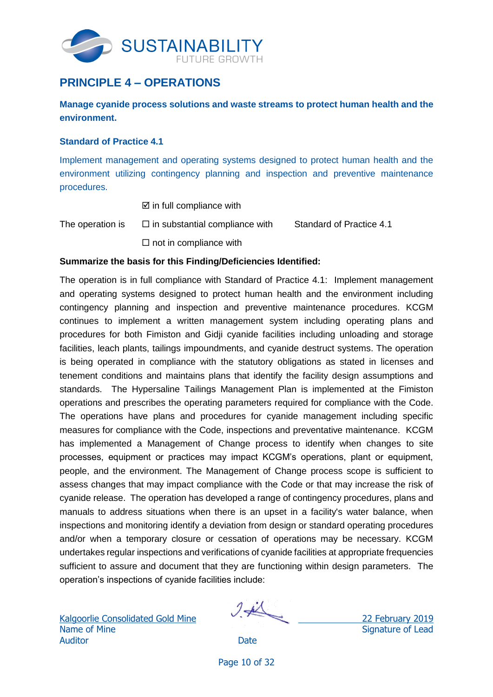

## <span id="page-12-0"></span>**PRINCIPLE 4 – OPERATIONS**

**Manage cyanide process solutions and waste streams to protect human health and the environment.**

### <span id="page-12-1"></span>**Standard of Practice 4.1**

Implement management and operating systems designed to protect human health and the environment utilizing contingency planning and inspection and preventive maintenance procedures.

- $\boxtimes$  in full compliance with
- The operation is  $\square$  in substantial compliance with Standard of Practice 4.1  $\square$  not in compliance with

## **Summarize the basis for this Finding/Deficiencies Identified:**

The operation is in full compliance with Standard of Practice 4.1: Implement management and operating systems designed to protect human health and the environment including contingency planning and inspection and preventive maintenance procedures. KCGM continues to implement a written management system including operating plans and procedures for both Fimiston and Gidji cyanide facilities including unloading and storage facilities, leach plants, tailings impoundments, and cyanide destruct systems. The operation is being operated in compliance with the statutory obligations as stated in licenses and tenement conditions and maintains plans that identify the facility design assumptions and standards. The Hypersaline Tailings Management Plan is implemented at the Fimiston operations and prescribes the operating parameters required for compliance with the Code. The operations have plans and procedures for cyanide management including specific measures for compliance with the Code, inspections and preventative maintenance. KCGM has implemented a Management of Change process to identify when changes to site processes, equipment or practices may impact KCGM's operations, plant or equipment, people, and the environment. The Management of Change process scope is sufficient to assess changes that may impact compliance with the Code or that may increase the risk of cyanide release. The operation has developed a range of contingency procedures, plans and manuals to address situations when there is an upset in a facility's water balance, when inspections and monitoring identify a deviation from design or standard operating procedures and/or when a temporary closure or cessation of operations may be necessary. KCGM undertakes regular inspections and verifications of cyanide facilities at appropriate frequencies sufficient to assure and document that they are functioning within design parameters. The operation's inspections of cyanide facilities include:

Kalgoorlie Consolidated Gold Mine 22 February 2019 Name of Mine Signature of Lead Auditor **Date** 

Page 10 of 32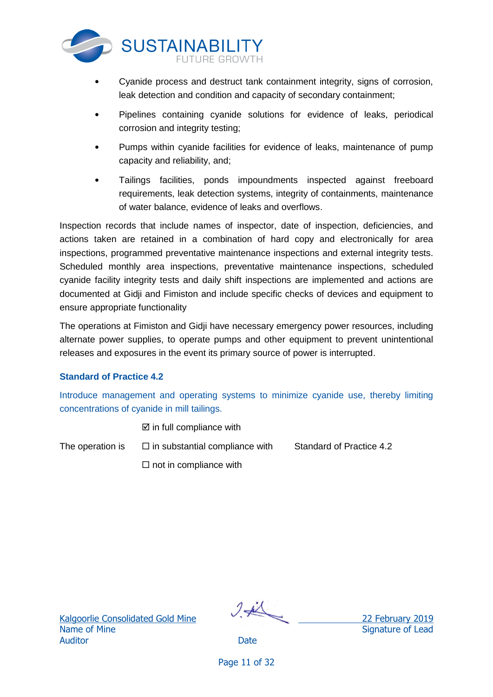

- Cyanide process and destruct tank containment integrity, signs of corrosion, leak detection and condition and capacity of secondary containment;
- Pipelines containing cyanide solutions for evidence of leaks, periodical corrosion and integrity testing;
- Pumps within cyanide facilities for evidence of leaks, maintenance of pump capacity and reliability, and;
- Tailings facilities, ponds impoundments inspected against freeboard requirements, leak detection systems, integrity of containments, maintenance of water balance, evidence of leaks and overflows.

Inspection records that include names of inspector, date of inspection, deficiencies, and actions taken are retained in a combination of hard copy and electronically for area inspections, programmed preventative maintenance inspections and external integrity tests. Scheduled monthly area inspections, preventative maintenance inspections, scheduled cyanide facility integrity tests and daily shift inspections are implemented and actions are documented at Gidji and Fimiston and include specific checks of devices and equipment to ensure appropriate functionality

The operations at Fimiston and Gidji have necessary emergency power resources, including alternate power supplies, to operate pumps and other equipment to prevent unintentional releases and exposures in the event its primary source of power is interrupted.

## <span id="page-13-0"></span>**Standard of Practice 4.2**

Introduce management and operating systems to minimize cyanide use, thereby limiting concentrations of cyanide in mill tailings.

 $\boxtimes$  in full compliance with

The operation is  $\square$  in substantial compliance with Standard of Practice 4.2

 $\Box$  not in compliance with

Name of Mine Signature of Lead Auditor **Date** 

Kalgoorlie Consolidated Gold Mine 22 February 2019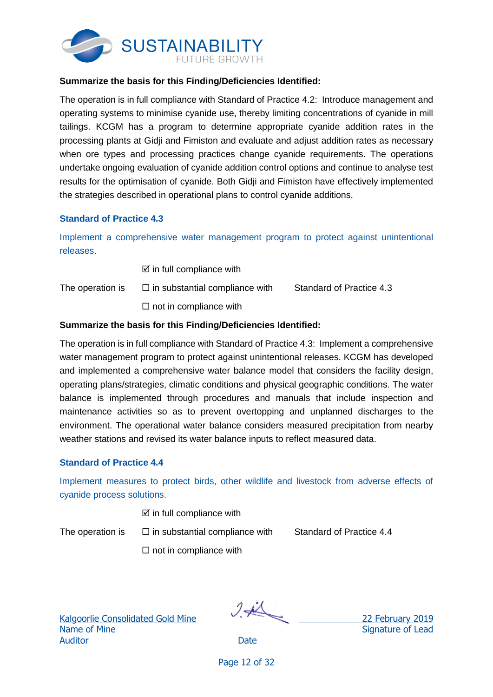

#### **Summarize the basis for this Finding/Deficiencies Identified:**

The operation is in full compliance with Standard of Practice 4.2: Introduce management and operating systems to minimise cyanide use, thereby limiting concentrations of cyanide in mill tailings. KCGM has a program to determine appropriate cyanide addition rates in the processing plants at Gidji and Fimiston and evaluate and adjust addition rates as necessary when ore types and processing practices change cyanide requirements. The operations undertake ongoing evaluation of cyanide addition control options and continue to analyse test results for the optimisation of cyanide. Both Gidji and Fimiston have effectively implemented the strategies described in operational plans to control cyanide additions.

#### <span id="page-14-0"></span>**Standard of Practice 4.3**

Implement a comprehensive water management program to protect against unintentional releases.

 $\boxtimes$  in full compliance with

The operation is  $\square$  in substantial compliance with Standard of Practice 4.3  $\square$  not in compliance with

#### **Summarize the basis for this Finding/Deficiencies Identified:**

The operation is in full compliance with Standard of Practice 4.3: Implement a comprehensive water management program to protect against unintentional releases. KCGM has developed and implemented a comprehensive water balance model that considers the facility design, operating plans/strategies, climatic conditions and physical geographic conditions. The water balance is implemented through procedures and manuals that include inspection and maintenance activities so as to prevent overtopping and unplanned discharges to the environment. The operational water balance considers measured precipitation from nearby weather stations and revised its water balance inputs to reflect measured data.

### <span id="page-14-1"></span>**Standard of Practice 4.4**

Implement measures to protect birds, other wildlife and livestock from adverse effects of cyanide process solutions.

 $\boxtimes$  in full compliance with

The operation is  $\square$  in substantial compliance with Standard of Practice 4.4

 $\square$  not in compliance with

Name of Mine Signature of Lead Auditor **Date** 

Kalgoorlie Consolidated Gold Mine 22 February 2019

Page 12 of 32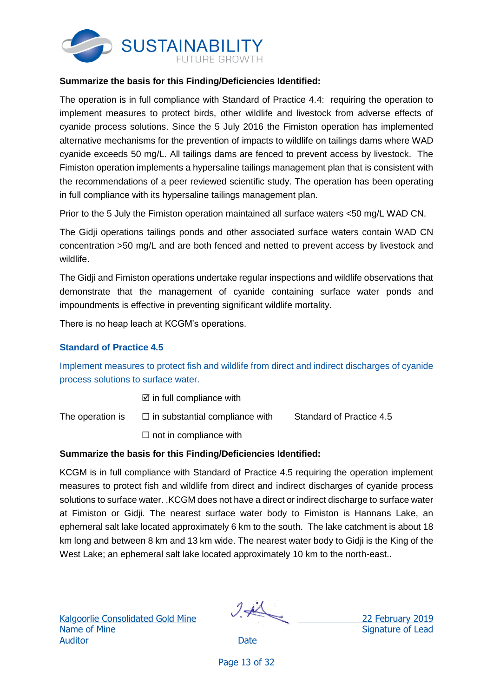

### **Summarize the basis for this Finding/Deficiencies Identified:**

The operation is in full compliance with Standard of Practice 4.4: requiring the operation to implement measures to protect birds, other wildlife and livestock from adverse effects of cyanide process solutions. Since the 5 July 2016 the Fimiston operation has implemented alternative mechanisms for the prevention of impacts to wildlife on tailings dams where WAD cyanide exceeds 50 mg/L. All tailings dams are fenced to prevent access by livestock. The Fimiston operation implements a hypersaline tailings management plan that is consistent with the recommendations of a peer reviewed scientific study. The operation has been operating in full compliance with its hypersaline tailings management plan.

Prior to the 5 July the Fimiston operation maintained all surface waters <50 mg/L WAD CN.

The Gidji operations tailings ponds and other associated surface waters contain WAD CN concentration >50 mg/L and are both fenced and netted to prevent access by livestock and wildlife.

The Gidji and Fimiston operations undertake regular inspections and wildlife observations that demonstrate that the management of cyanide containing surface water ponds and impoundments is effective in preventing significant wildlife mortality.

There is no heap leach at KCGM's operations.

### <span id="page-15-0"></span>**Standard of Practice 4.5**

Implement measures to protect fish and wildlife from direct and indirect discharges of cyanide process solutions to surface water.

 $\boxtimes$  in full compliance with

The operation is  $\square$  in substantial compliance with Standard of Practice 4.5

 $\square$  not in compliance with

#### **Summarize the basis for this Finding/Deficiencies Identified:**

KCGM is in full compliance with Standard of Practice 4.5 requiring the operation implement measures to protect fish and wildlife from direct and indirect discharges of cyanide process solutions to surface water. .KCGM does not have a direct or indirect discharge to surface water at Fimiston or Gidji. The nearest surface water body to Fimiston is Hannans Lake, an ephemeral salt lake located approximately 6 km to the south. The lake catchment is about 18 km long and between 8 km and 13 km wide. The nearest water body to Gidji is the King of the West Lake; an ephemeral salt lake located approximately 10 km to the north-east..

Name of Mine Signature of Lead Auditor **Date** 

Kalgoorlie Consolidated Gold Mine 22 February 2019

Page 13 of 32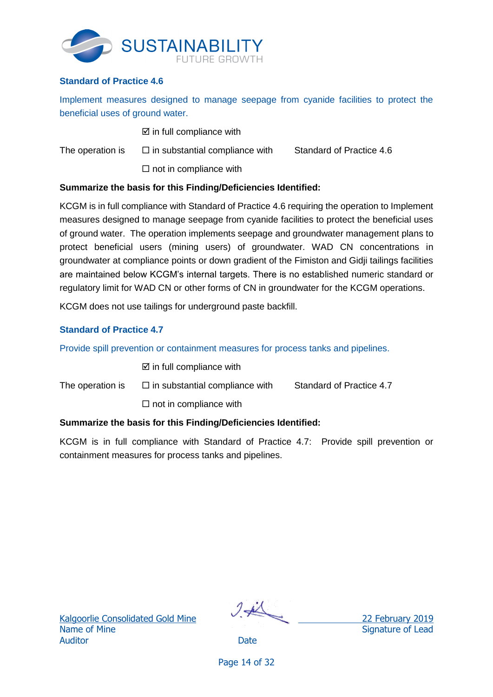

## <span id="page-16-0"></span>**Standard of Practice 4.6**

Implement measures designed to manage seepage from cyanide facilities to protect the beneficial uses of ground water.

|                  | $\boxtimes$ in full compliance with   |                                 |
|------------------|---------------------------------------|---------------------------------|
| The operation is | $\Box$ in substantial compliance with | <b>Standard of Practice 4.6</b> |
|                  | $\Box$ not in compliance with         |                                 |

### **Summarize the basis for this Finding/Deficiencies Identified:**

KCGM is in full compliance with Standard of Practice 4.6 requiring the operation to Implement measures designed to manage seepage from cyanide facilities to protect the beneficial uses of ground water. The operation implements seepage and groundwater management plans to protect beneficial users (mining users) of groundwater. WAD CN concentrations in groundwater at compliance points or down gradient of the Fimiston and Gidji tailings facilities are maintained below KCGM's internal targets. There is no established numeric standard or regulatory limit for WAD CN or other forms of CN in groundwater for the KCGM operations.

KCGM does not use tailings for underground paste backfill.

## <span id="page-16-1"></span>**Standard of Practice 4.7**

Provide spill prevention or containment measures for process tanks and pipelines.

 $\boxtimes$  in full compliance with

The operation is  $\square$  in substantial compliance with Standard of Practice 4.7

 $\square$  not in compliance with

## **Summarize the basis for this Finding/Deficiencies Identified:**

KCGM is in full compliance with Standard of Practice 4.7: Provide spill prevention or containment measures for process tanks and pipelines.

Name of Mine Signature of Lead Auditor **Date** 

Kalgoorlie Consolidated Gold Mine 22 February 2019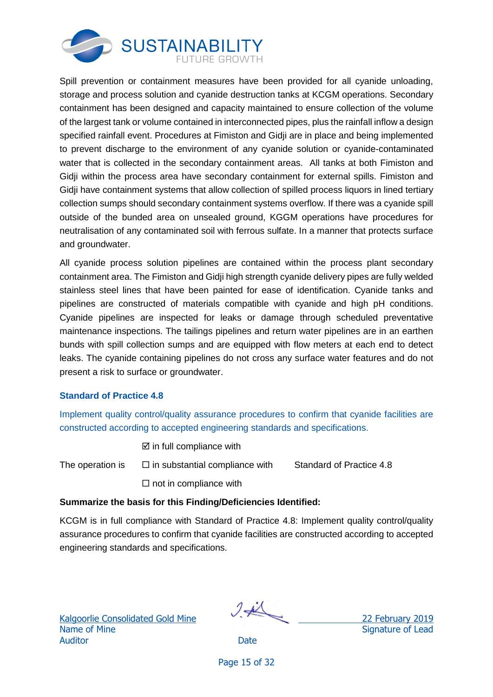

Spill prevention or containment measures have been provided for all cyanide unloading, storage and process solution and cyanide destruction tanks at KCGM operations. Secondary containment has been designed and capacity maintained to ensure collection of the volume of the largest tank or volume contained in interconnected pipes, plus the rainfall inflow a design specified rainfall event. Procedures at Fimiston and Gidji are in place and being implemented to prevent discharge to the environment of any cyanide solution or cyanide-contaminated water that is collected in the secondary containment areas. All tanks at both Fimiston and Gidji within the process area have secondary containment for external spills. Fimiston and Gidji have containment systems that allow collection of spilled process liquors in lined tertiary collection sumps should secondary containment systems overflow. If there was a cyanide spill outside of the bunded area on unsealed ground, KGGM operations have procedures for neutralisation of any contaminated soil with ferrous sulfate. In a manner that protects surface and groundwater.

All cyanide process solution pipelines are contained within the process plant secondary containment area. The Fimiston and Gidji high strength cyanide delivery pipes are fully welded stainless steel lines that have been painted for ease of identification. Cyanide tanks and pipelines are constructed of materials compatible with cyanide and high pH conditions. Cyanide pipelines are inspected for leaks or damage through scheduled preventative maintenance inspections. The tailings pipelines and return water pipelines are in an earthen bunds with spill collection sumps and are equipped with flow meters at each end to detect leaks. The cyanide containing pipelines do not cross any surface water features and do not present a risk to surface or groundwater.

## <span id="page-17-0"></span>**Standard of Practice 4.8**

Implement quality control/quality assurance procedures to confirm that cyanide facilities are constructed according to accepted engineering standards and specifications.

- $\boxtimes$  in full compliance with
- The operation is  $\square$  in substantial compliance with Standard of Practice 4.8  $\square$  not in compliance with

## **Summarize the basis for this Finding/Deficiencies Identified:**

KCGM is in full compliance with Standard of Practice 4.8: Implement quality control/quality assurance procedures to confirm that cyanide facilities are constructed according to accepted engineering standards and specifications.

Name of Mine Signature of Lead Auditor **Date** 

Kalgoorlie Consolidated Gold Mine 22 February 2019

Page 15 of 32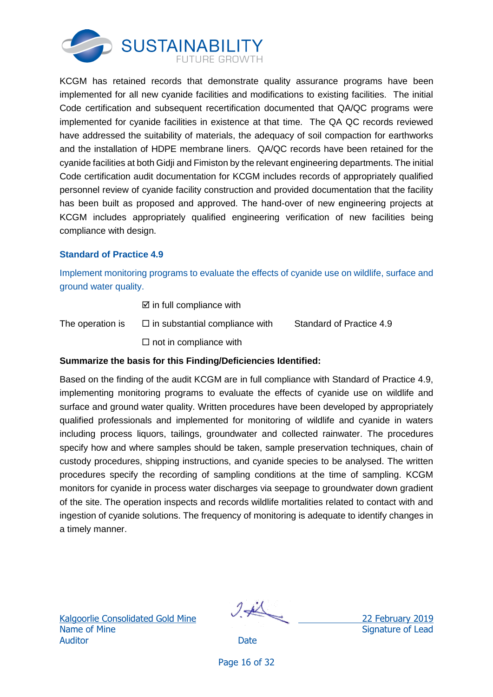

KCGM has retained records that demonstrate quality assurance programs have been implemented for all new cyanide facilities and modifications to existing facilities. The initial Code certification and subsequent recertification documented that QA/QC programs were implemented for cyanide facilities in existence at that time. The QA QC records reviewed have addressed the suitability of materials, the adequacy of soil compaction for earthworks and the installation of HDPE membrane liners. QA/QC records have been retained for the cyanide facilities at both Gidji and Fimiston by the relevant engineering departments. The initial Code certification audit documentation for KCGM includes records of appropriately qualified personnel review of cyanide facility construction and provided documentation that the facility has been built as proposed and approved. The hand-over of new engineering projects at KCGM includes appropriately qualified engineering verification of new facilities being compliance with design.

## <span id="page-18-0"></span>**Standard of Practice 4.9**

Implement monitoring programs to evaluate the effects of cyanide use on wildlife, surface and ground water quality.

 $\boxtimes$  in full compliance with

The operation is  $\square$  in substantial compliance with Standard of Practice 4.9

 $\square$  not in compliance with

## **Summarize the basis for this Finding/Deficiencies Identified:**

<span id="page-18-1"></span>Based on the finding of the audit KCGM are in full compliance with Standard of Practice 4.9, implementing monitoring programs to evaluate the effects of cyanide use on wildlife and surface and ground water quality. Written procedures have been developed by appropriately qualified professionals and implemented for monitoring of wildlife and cyanide in waters including process liquors, tailings, groundwater and collected rainwater. The procedures specify how and where samples should be taken, sample preservation techniques, chain of custody procedures, shipping instructions, and cyanide species to be analysed. The written procedures specify the recording of sampling conditions at the time of sampling. KCGM monitors for cyanide in process water discharges via seepage to groundwater down gradient of the site. The operation inspects and records wildlife mortalities related to contact with and ingestion of cyanide solutions. The frequency of monitoring is adequate to identify changes in a timely manner.

Kalgoorlie Consolidated Gold Mine 22 February 2019 Name of Mine Signature of Lead Auditor **Date** 

Page 16 of 32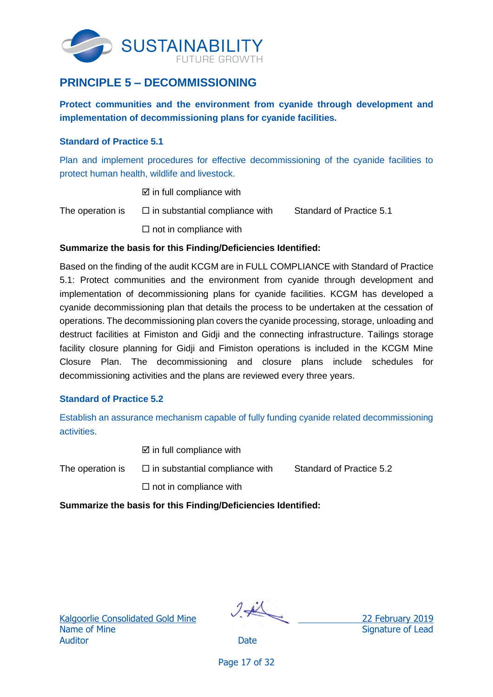

## **PRINCIPLE 5 – DECOMMISSIONING**

**Protect communities and the environment from cyanide through development and implementation of decommissioning plans for cyanide facilities.**

### <span id="page-19-0"></span>**Standard of Practice 5.1**

Plan and implement procedures for effective decommissioning of the cyanide facilities to protect human health, wildlife and livestock.

 $\boxtimes$  in full compliance with

The operation is  $\square$  in substantial compliance with Standard of Practice 5.1  $\Box$  not in compliance with

### **Summarize the basis for this Finding/Deficiencies Identified:**

Based on the finding of the audit KCGM are in FULL COMPLIANCE with Standard of Practice 5.1: Protect communities and the environment from cyanide through development and implementation of decommissioning plans for cyanide facilities. KCGM has developed a cyanide decommissioning plan that details the process to be undertaken at the cessation of operations. The decommissioning plan covers the cyanide processing, storage, unloading and destruct facilities at Fimiston and Gidji and the connecting infrastructure. Tailings storage facility closure planning for Gidji and Fimiston operations is included in the KCGM Mine Closure Plan. The decommissioning and closure plans include schedules for decommissioning activities and the plans are reviewed every three years.

### <span id="page-19-1"></span>**Standard of Practice 5.2**

Establish an assurance mechanism capable of fully funding cyanide related decommissioning activities.

 $\boxtimes$  in full compliance with

The operation is  $\square$  in substantial compliance with Standard of Practice 5.2  $\square$  not in compliance with

**Summarize the basis for this Finding/Deficiencies Identified:**

Kalgoorlie Consolidated Gold Mine 22 February 2019 Name of Mine Signature of Lead Auditor **Date** 

Page 17 of 32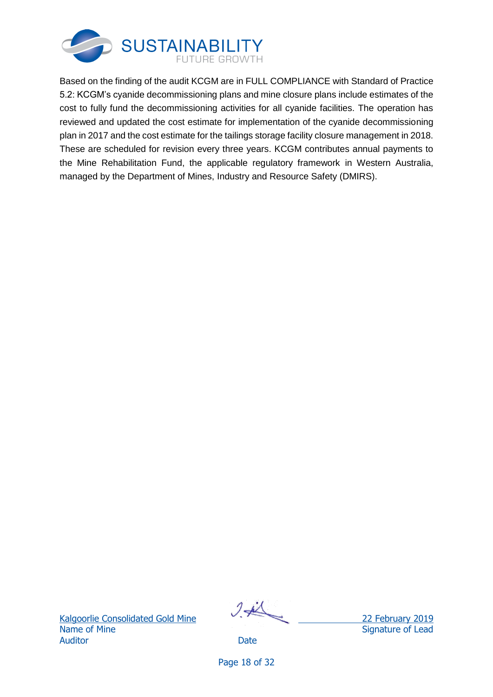

Based on the finding of the audit KCGM are in FULL COMPLIANCE with Standard of Practice 5.2: KCGM's cyanide decommissioning plans and mine closure plans include estimates of the cost to fully fund the decommissioning activities for all cyanide facilities. The operation has reviewed and updated the cost estimate for implementation of the cyanide decommissioning plan in 2017 and the cost estimate for the tailings storage facility closure management in 2018. These are scheduled for revision every three years. KCGM contributes annual payments to the Mine Rehabilitation Fund, the applicable regulatory framework in Western Australia, managed by the Department of Mines, Industry and Resource Safety (DMIRS).

Kalgoorlie Consolidated Gold Mine 22 February 2019 Name of Mine Signature of Lead Auditor **Date** 

Page 18 of 32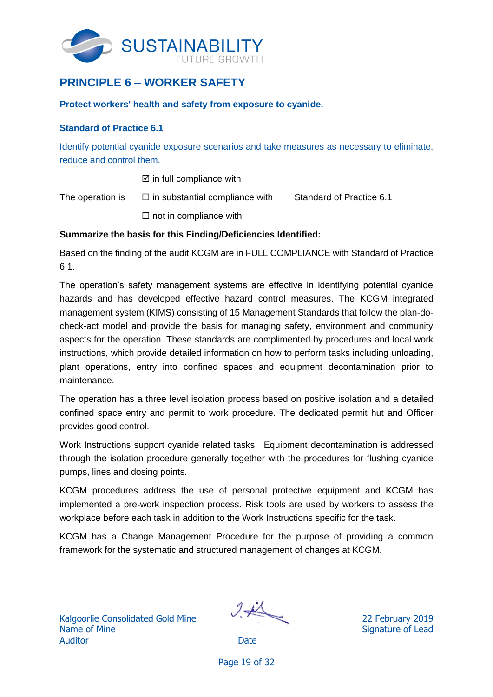

## <span id="page-21-0"></span>**PRINCIPLE 6 – WORKER SAFETY**

**Protect workers' health and safety from exposure to cyanide.**

### <span id="page-21-1"></span>**Standard of Practice 6.1**

Identify potential cyanide exposure scenarios and take measures as necessary to eliminate, reduce and control them.

 $\boxtimes$  in full compliance with

The operation is  $\square$  in substantial compliance with Standard of Practice 6.1

 $\square$  not in compliance with

### **Summarize the basis for this Finding/Deficiencies Identified:**

Based on the finding of the audit KCGM are in FULL COMPLIANCE with Standard of Practice 6.1.

The operation's safety management systems are effective in identifying potential cyanide hazards and has developed effective hazard control measures. The KCGM integrated management system (KIMS) consisting of 15 Management Standards that follow the plan-docheck-act model and provide the basis for managing safety, environment and community aspects for the operation. These standards are complimented by procedures and local work instructions, which provide detailed information on how to perform tasks including unloading, plant operations, entry into confined spaces and equipment decontamination prior to maintenance.

The operation has a three level isolation process based on positive isolation and a detailed confined space entry and permit to work procedure. The dedicated permit hut and Officer provides good control.

Work Instructions support cyanide related tasks. Equipment decontamination is addressed through the isolation procedure generally together with the procedures for flushing cyanide pumps, lines and dosing points.

KCGM procedures address the use of personal protective equipment and KCGM has implemented a pre-work inspection process. Risk tools are used by workers to assess the workplace before each task in addition to the Work Instructions specific for the task.

KCGM has a Change Management Procedure for the purpose of providing a common framework for the systematic and structured management of changes at KCGM.

Kalgo<u>orlie Consolidated Gold Mine</u> 22 February 2019 Name of Mine Signature of Lead Auditor **Date** 

Page 19 of 32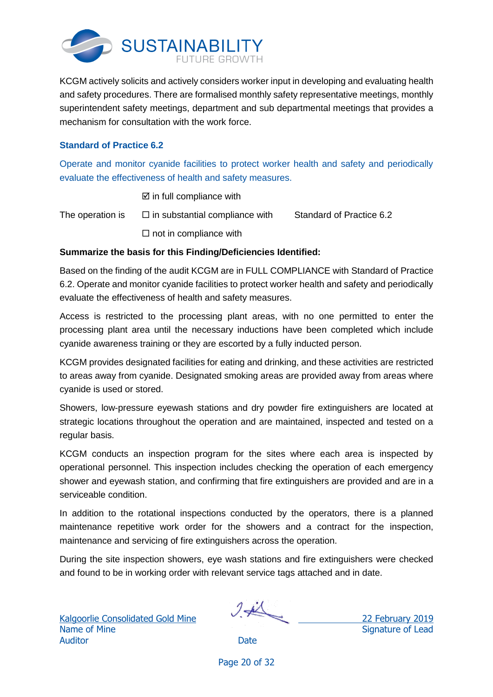

KCGM actively solicits and actively considers worker input in developing and evaluating health and safety procedures. There are formalised monthly safety representative meetings, monthly superintendent safety meetings, department and sub departmental meetings that provides a mechanism for consultation with the work force.

## <span id="page-22-0"></span>**Standard of Practice 6.2**

Operate and monitor cyanide facilities to protect worker health and safety and periodically evaluate the effectiveness of health and safety measures.

 $\boxtimes$  in full compliance with

The operation is  $\square$  in substantial compliance with Standard of Practice 6.2  $\square$  not in compliance with

## **Summarize the basis for this Finding/Deficiencies Identified:**

Based on the finding of the audit KCGM are in FULL COMPLIANCE with Standard of Practice 6.2. Operate and monitor cyanide facilities to protect worker health and safety and periodically evaluate the effectiveness of health and safety measures.

Access is restricted to the processing plant areas, with no one permitted to enter the processing plant area until the necessary inductions have been completed which include cyanide awareness training or they are escorted by a fully inducted person.

KCGM provides designated facilities for eating and drinking, and these activities are restricted to areas away from cyanide. Designated smoking areas are provided away from areas where cyanide is used or stored.

Showers, low-pressure eyewash stations and dry powder fire extinguishers are located at strategic locations throughout the operation and are maintained, inspected and tested on a regular basis.

KCGM conducts an inspection program for the sites where each area is inspected by operational personnel. This inspection includes checking the operation of each emergency shower and eyewash station, and confirming that fire extinguishers are provided and are in a serviceable condition.

In addition to the rotational inspections conducted by the operators, there is a planned maintenance repetitive work order for the showers and a contract for the inspection, maintenance and servicing of fire extinguishers across the operation.

During the site inspection showers, eye wash stations and fire extinguishers were checked and found to be in working order with relevant service tags attached and in date.

Kalgoorlie Consolidated Gold Mine 22 February 2019 Name of Mine Signature of Lead Auditor **Date** 

Page 20 of 32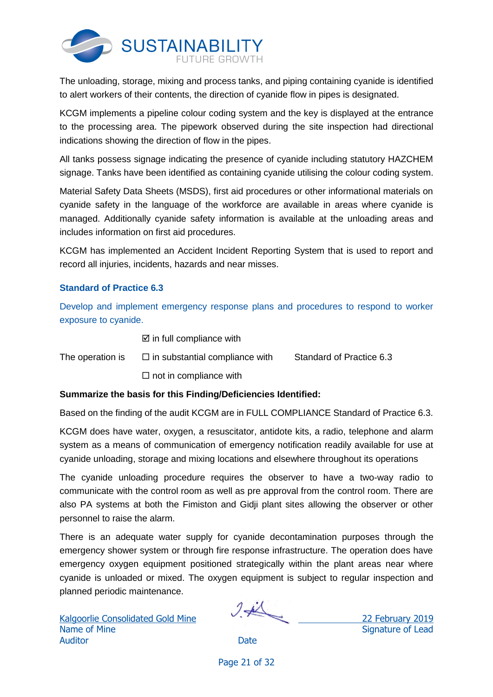

The unloading, storage, mixing and process tanks, and piping containing cyanide is identified to alert workers of their contents, the direction of cyanide flow in pipes is designated.

KCGM implements a pipeline colour coding system and the key is displayed at the entrance to the processing area. The pipework observed during the site inspection had directional indications showing the direction of flow in the pipes.

All tanks possess signage indicating the presence of cyanide including statutory HAZCHEM signage. Tanks have been identified as containing cyanide utilising the colour coding system.

Material Safety Data Sheets (MSDS), first aid procedures or other informational materials on cyanide safety in the language of the workforce are available in areas where cyanide is managed. Additionally cyanide safety information is available at the unloading areas and includes information on first aid procedures.

KCGM has implemented an Accident Incident Reporting System that is used to report and record all injuries, incidents, hazards and near misses.

## <span id="page-23-0"></span>**Standard of Practice 6.3**

Develop and implement emergency response plans and procedures to respond to worker exposure to cyanide.

 $\boxtimes$  in full compliance with

The operation is  $\square$  in substantial compliance with Standard of Practice 6.3

 $\square$  not in compliance with

## **Summarize the basis for this Finding/Deficiencies Identified:**

Based on the finding of the audit KCGM are in FULL COMPLIANCE Standard of Practice 6.3.

KCGM does have water, oxygen, a resuscitator, antidote kits, a radio, telephone and alarm system as a means of communication of emergency notification readily available for use at cyanide unloading, storage and mixing locations and elsewhere throughout its operations

The cyanide unloading procedure requires the observer to have a two-way radio to communicate with the control room as well as pre approval from the control room. There are also PA systems at both the Fimiston and Gidji plant sites allowing the observer or other personnel to raise the alarm.

There is an adequate water supply for cyanide decontamination purposes through the emergency shower system or through fire response infrastructure. The operation does have emergency oxygen equipment positioned strategically within the plant areas near where cyanide is unloaded or mixed. The oxygen equipment is subject to regular inspection and planned periodic maintenance.

Kalgoorlie Consolidated Gold Mine 22 February 2019 Name of Mine Signature of Lead Auditor **Date** 

Page 21 of 32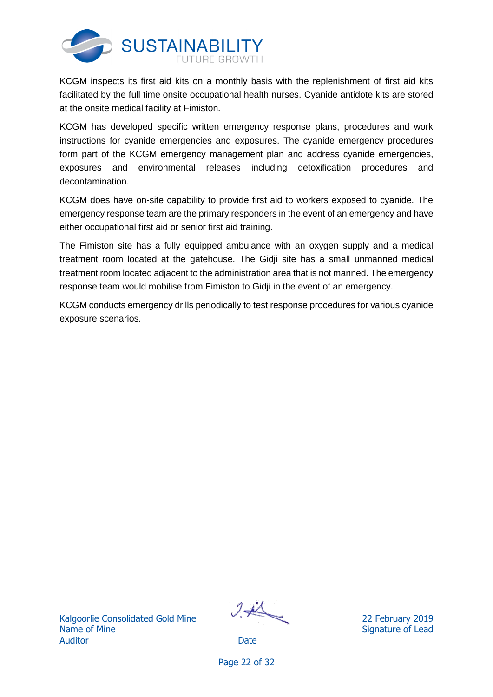

KCGM inspects its first aid kits on a monthly basis with the replenishment of first aid kits facilitated by the full time onsite occupational health nurses. Cyanide antidote kits are stored at the onsite medical facility at Fimiston.

KCGM has developed specific written emergency response plans, procedures and work instructions for cyanide emergencies and exposures. The cyanide emergency procedures form part of the KCGM emergency management plan and address cyanide emergencies, exposures and environmental releases including detoxification procedures and decontamination.

KCGM does have on-site capability to provide first aid to workers exposed to cyanide. The emergency response team are the primary responders in the event of an emergency and have either occupational first aid or senior first aid training.

The Fimiston site has a fully equipped ambulance with an oxygen supply and a medical treatment room located at the gatehouse. The Gidji site has a small unmanned medical treatment room located adjacent to the administration area that is not manned. The emergency response team would mobilise from Fimiston to Gidji in the event of an emergency.

KCGM conducts emergency drills periodically to test response procedures for various cyanide exposure scenarios.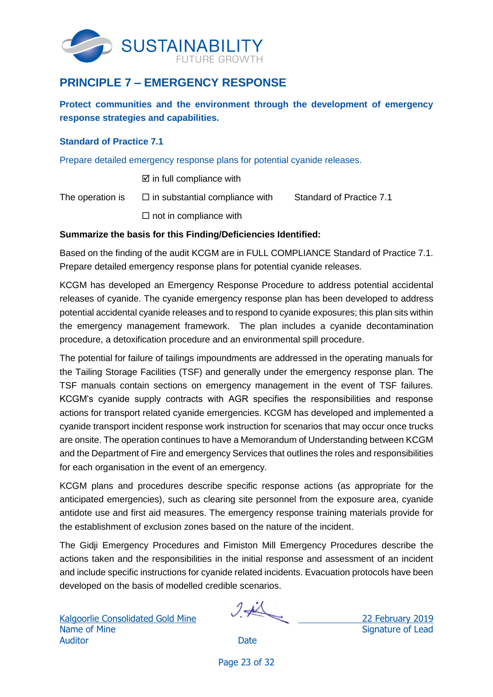

## <span id="page-25-0"></span>**PRINCIPLE 7 – EMERGENCY RESPONSE**

**Protect communities and the environment through the development of emergency response strategies and capabilities.**

### <span id="page-25-1"></span>**Standard of Practice 7.1**

Prepare detailed emergency response plans for potential cyanide releases.

 $\boxtimes$  in full compliance with

The operation is  $\square$  in substantial compliance with Standard of Practice 7.1

 $\square$  not in compliance with

## **Summarize the basis for this Finding/Deficiencies Identified:**

Based on the finding of the audit KCGM are in FULL COMPLIANCE Standard of Practice 7.1. Prepare detailed emergency response plans for potential cyanide releases.

KCGM has developed an Emergency Response Procedure to address potential accidental releases of cyanide. The cyanide emergency response plan has been developed to address potential accidental cyanide releases and to respond to cyanide exposures; this plan sits within the emergency management framework. The plan includes a cyanide decontamination procedure, a detoxification procedure and an environmental spill procedure.

The potential for failure of tailings impoundments are addressed in the operating manuals for the Tailing Storage Facilities (TSF) and generally under the emergency response plan. The TSF manuals contain sections on emergency management in the event of TSF failures. KCGM's cyanide supply contracts with AGR specifies the responsibilities and response actions for transport related cyanide emergencies. KCGM has developed and implemented a cyanide transport incident response work instruction for scenarios that may occur once trucks are onsite. The operation continues to have a Memorandum of Understanding between KCGM and the Department of Fire and emergency Services that outlines the roles and responsibilities for each organisation in the event of an emergency.

KCGM plans and procedures describe specific response actions (as appropriate for the anticipated emergencies), such as clearing site personnel from the exposure area, cyanide antidote use and first aid measures. The emergency response training materials provide for the establishment of exclusion zones based on the nature of the incident.

The Gidji Emergency Procedures and Fimiston Mill Emergency Procedures describe the actions taken and the responsibilities in the initial response and assessment of an incident and include specific instructions for cyanide related incidents. Evacuation protocols have been developed on the basis of modelled credible scenarios.

Kalgoorlie Consolidated Gold Mine 22 February 2019 Name of Mine Signature of Lead Auditor **Date** 

Page 23 of 32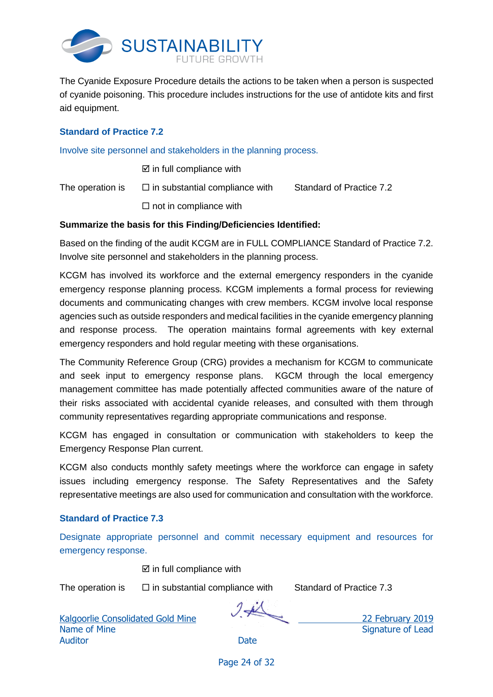

The Cyanide Exposure Procedure details the actions to be taken when a person is suspected of cyanide poisoning. This procedure includes instructions for the use of antidote kits and first aid equipment.

## <span id="page-26-0"></span>**Standard of Practice 7.2**

Involve site personnel and stakeholders in the planning process.

 $\boxtimes$  in full compliance with

The operation is  $\square$  in substantial compliance with Standard of Practice 7.2

 $\square$  not in compliance with

### **Summarize the basis for this Finding/Deficiencies Identified:**

Based on the finding of the audit KCGM are in FULL COMPLIANCE Standard of Practice 7.2. Involve site personnel and stakeholders in the planning process.

KCGM has involved its workforce and the external emergency responders in the cyanide emergency response planning process. KCGM implements a formal process for reviewing documents and communicating changes with crew members. KCGM involve local response agencies such as outside responders and medical facilities in the cyanide emergency planning and response process. The operation maintains formal agreements with key external emergency responders and hold regular meeting with these organisations.

The Community Reference Group (CRG) provides a mechanism for KCGM to communicate and seek input to emergency response plans. KGCM through the local emergency management committee has made potentially affected communities aware of the nature of their risks associated with accidental cyanide releases, and consulted with them through community representatives regarding appropriate communications and response.

KCGM has engaged in consultation or communication with stakeholders to keep the Emergency Response Plan current.

KCGM also conducts monthly safety meetings where the workforce can engage in safety issues including emergency response. The Safety Representatives and the Safety representative meetings are also used for communication and consultation with the workforce.

### <span id="page-26-1"></span>**Standard of Practice 7.3**

Designate appropriate personnel and commit necessary equipment and resources for emergency response.

 $\boxtimes$  in full compliance with

The operation is  $\square$  in substantial compliance with Standard of Practice 7.3

Kalgoorlie Consolidated Gold Mine 22 February 2019 Name of Mine Signature of Lead Auditor **Date** 

Page 24 of 32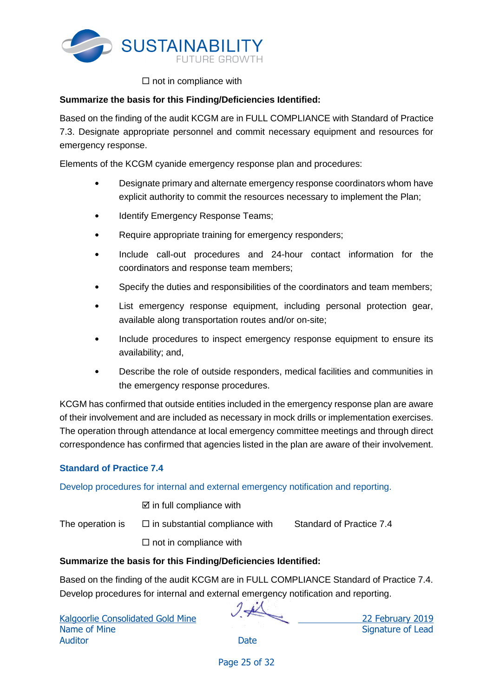

## $\square$  not in compliance with

## **Summarize the basis for this Finding/Deficiencies Identified:**

Based on the finding of the audit KCGM are in FULL COMPLIANCE with Standard of Practice 7.3. Designate appropriate personnel and commit necessary equipment and resources for emergency response.

Elements of the KCGM cyanide emergency response plan and procedures:

- Designate primary and alternate emergency response coordinators whom have explicit authority to commit the resources necessary to implement the Plan;
- Identify Emergency Response Teams;
- Require appropriate training for emergency responders;
- Include call-out procedures and 24-hour contact information for the coordinators and response team members;
- Specify the duties and responsibilities of the coordinators and team members;
- List emergency response equipment, including personal protection gear, available along transportation routes and/or on-site;
- Include procedures to inspect emergency response equipment to ensure its availability; and,
- Describe the role of outside responders, medical facilities and communities in the emergency response procedures.

KCGM has confirmed that outside entities included in the emergency response plan are aware of their involvement and are included as necessary in mock drills or implementation exercises. The operation through attendance at local emergency committee meetings and through direct correspondence has confirmed that agencies listed in the plan are aware of their involvement.

## <span id="page-27-0"></span>**Standard of Practice 7.4**

Develop procedures for internal and external emergency notification and reporting.

 $\boxtimes$  in full compliance with

The operation is  $\square$  in substantial compliance with Standard of Practice 7.4

 $\Box$  not in compliance with

## **Summarize the basis for this Finding/Deficiencies Identified:**

Based on the finding of the audit KCGM are in FULL COMPLIANCE Standard of Practice 7.4. Develop procedures for internal and external emergency notification and reporting.

Name of Mine Signature of Lead Auditor **Date** 

Kalgoorlie Consolidated Gold Mine 22 February 2019

Page 25 of 32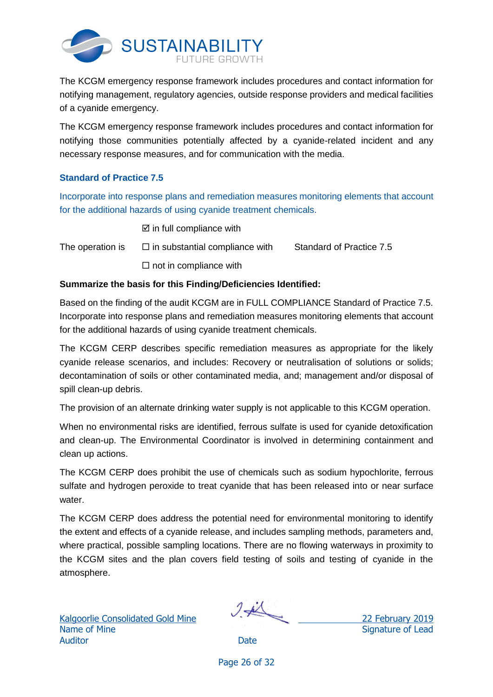

The KCGM emergency response framework includes procedures and contact information for notifying management, regulatory agencies, outside response providers and medical facilities of a cyanide emergency.

The KCGM emergency response framework includes procedures and contact information for notifying those communities potentially affected by a cyanide-related incident and any necessary response measures, and for communication with the media.

## <span id="page-28-0"></span>**Standard of Practice 7.5**

Incorporate into response plans and remediation measures monitoring elements that account for the additional hazards of using cyanide treatment chemicals.

 $\boxtimes$  in full compliance with

The operation is  $\square$  in substantial compliance with Standard of Practice 7.5  $\square$  not in compliance with

## **Summarize the basis for this Finding/Deficiencies Identified:**

Based on the finding of the audit KCGM are in FULL COMPLIANCE Standard of Practice 7.5. Incorporate into response plans and remediation measures monitoring elements that account for the additional hazards of using cyanide treatment chemicals.

The KCGM CERP describes specific remediation measures as appropriate for the likely cyanide release scenarios, and includes: Recovery or neutralisation of solutions or solids; decontamination of soils or other contaminated media, and; management and/or disposal of spill clean-up debris.

The provision of an alternate drinking water supply is not applicable to this KCGM operation.

When no environmental risks are identified, ferrous sulfate is used for cyanide detoxification and clean-up. The Environmental Coordinator is involved in determining containment and clean up actions.

The KCGM CERP does prohibit the use of chemicals such as sodium hypochlorite, ferrous sulfate and hydrogen peroxide to treat cyanide that has been released into or near surface water.

The KCGM CERP does address the potential need for environmental monitoring to identify the extent and effects of a cyanide release, and includes sampling methods, parameters and, where practical, possible sampling locations. There are no flowing waterways in proximity to the KCGM sites and the plan covers field testing of soils and testing of cyanide in the atmosphere.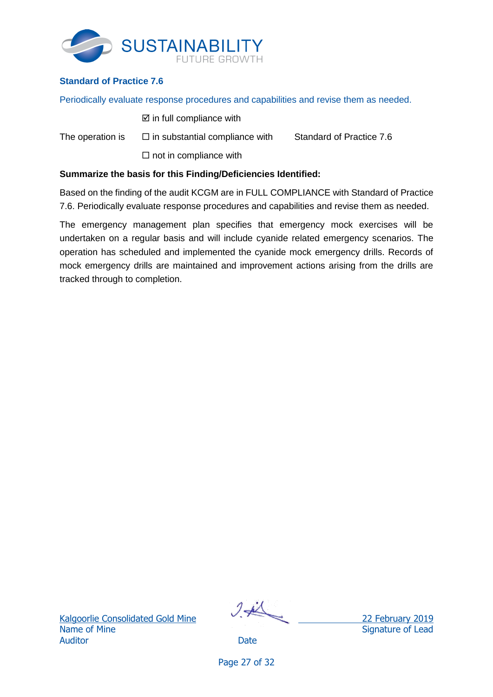

## <span id="page-29-0"></span>**Standard of Practice 7.6**

Periodically evaluate response procedures and capabilities and revise them as needed.

- $\boxtimes$  in full compliance with
- The operation is  $\square$  in substantial compliance with Standard of Practice 7.6  $\square$  not in compliance with

### **Summarize the basis for this Finding/Deficiencies Identified:**

Based on the finding of the audit KCGM are in FULL COMPLIANCE with Standard of Practice 7.6. Periodically evaluate response procedures and capabilities and revise them as needed.

The emergency management plan specifies that emergency mock exercises will be undertaken on a regular basis and will include cyanide related emergency scenarios. The operation has scheduled and implemented the cyanide mock emergency drills. Records of mock emergency drills are maintained and improvement actions arising from the drills are tracked through to completion.

$$
\mathcal{I}\neq
$$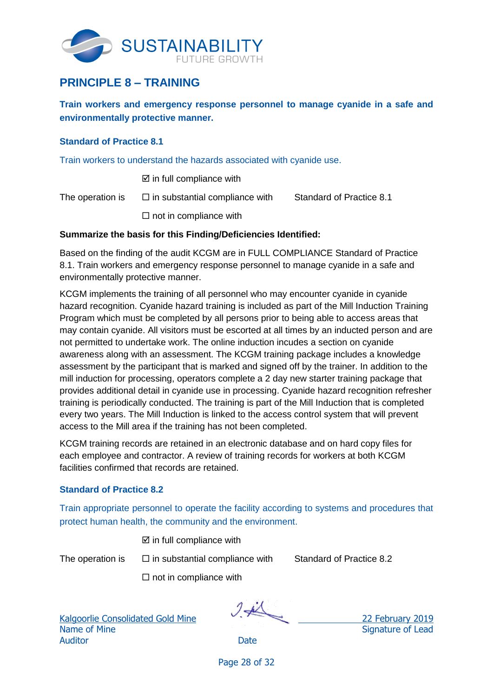

## <span id="page-30-0"></span>**PRINCIPLE 8 – TRAINING**

**Train workers and emergency response personnel to manage cyanide in a safe and environmentally protective manner.**

### <span id="page-30-1"></span>**Standard of Practice 8.1**

Train workers to understand the hazards associated with cyanide use.

 $\boxtimes$  in full compliance with

The operation is  $\square$  in substantial compliance with Standard of Practice 8.1

 $\square$  not in compliance with

## **Summarize the basis for this Finding/Deficiencies Identified:**

Based on the finding of the audit KCGM are in FULL COMPLIANCE Standard of Practice 8.1. Train workers and emergency response personnel to manage cyanide in a safe and environmentally protective manner.

KCGM implements the training of all personnel who may encounter cyanide in cyanide hazard recognition. Cyanide hazard training is included as part of the Mill Induction Training Program which must be completed by all persons prior to being able to access areas that may contain cyanide. All visitors must be escorted at all times by an inducted person and are not permitted to undertake work. The online induction incudes a section on cyanide awareness along with an assessment. The KCGM training package includes a knowledge assessment by the participant that is marked and signed off by the trainer. In addition to the mill induction for processing, operators complete a 2 day new starter training package that provides additional detail in cyanide use in processing. Cyanide hazard recognition refresher training is periodically conducted. The training is part of the Mill Induction that is completed every two years. The Mill Induction is linked to the access control system that will prevent access to the Mill area if the training has not been completed.

KCGM training records are retained in an electronic database and on hard copy files for each employee and contractor. A review of training records for workers at both KCGM facilities confirmed that records are retained.

## <span id="page-30-2"></span>**Standard of Practice 8.2**

Train appropriate personnel to operate the facility according to systems and procedures that protect human health, the community and the environment.

 $\boxtimes$  in full compliance with

The operation is  $\square$  in substantial compliance with Standard of Practice 8.2

 $\square$  not in compliance with

Kalgoorlie Consolidated Gold Mine 22 February 2019 Name of Mine Signature of Lead Auditor **Date** 

Page 28 of 32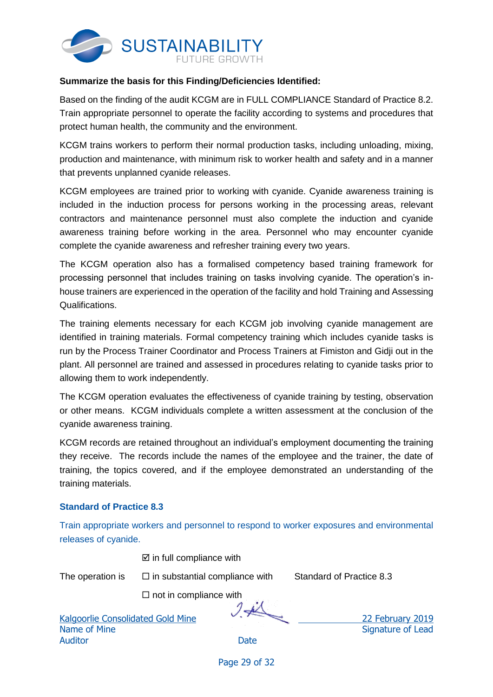

### **Summarize the basis for this Finding/Deficiencies Identified:**

Based on the finding of the audit KCGM are in FULL COMPLIANCE Standard of Practice 8.2. Train appropriate personnel to operate the facility according to systems and procedures that protect human health, the community and the environment.

KCGM trains workers to perform their normal production tasks, including unloading, mixing, production and maintenance, with minimum risk to worker health and safety and in a manner that prevents unplanned cyanide releases.

KCGM employees are trained prior to working with cyanide. Cyanide awareness training is included in the induction process for persons working in the processing areas, relevant contractors and maintenance personnel must also complete the induction and cyanide awareness training before working in the area. Personnel who may encounter cyanide complete the cyanide awareness and refresher training every two years.

The KCGM operation also has a formalised competency based training framework for processing personnel that includes training on tasks involving cyanide. The operation's inhouse trainers are experienced in the operation of the facility and hold Training and Assessing Qualifications.

The training elements necessary for each KCGM job involving cyanide management are identified in training materials. Formal competency training which includes cyanide tasks is run by the Process Trainer Coordinator and Process Trainers at Fimiston and Gidji out in the plant. All personnel are trained and assessed in procedures relating to cyanide tasks prior to allowing them to work independently.

The KCGM operation evaluates the effectiveness of cyanide training by testing, observation or other means. KCGM individuals complete a written assessment at the conclusion of the cyanide awareness training.

KCGM records are retained throughout an individual's employment documenting the training they receive. The records include the names of the employee and the trainer, the date of training, the topics covered, and if the employee demonstrated an understanding of the training materials.

### <span id="page-31-0"></span>**Standard of Practice 8.3**

Train appropriate workers and personnel to respond to worker exposures and environmental releases of cyanide.

 $\boxtimes$  in full compliance with

The operation is  $\square$  in substantial compliance with Standard of Practice 8.3

 $\square$  not in compliance with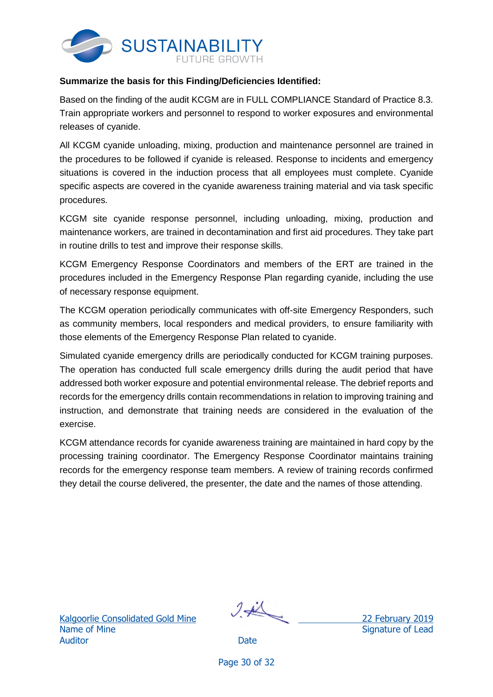

### **Summarize the basis for this Finding/Deficiencies Identified:**

Based on the finding of the audit KCGM are in FULL COMPLIANCE Standard of Practice 8.3. Train appropriate workers and personnel to respond to worker exposures and environmental releases of cyanide.

All KCGM cyanide unloading, mixing, production and maintenance personnel are trained in the procedures to be followed if cyanide is released. Response to incidents and emergency situations is covered in the induction process that all employees must complete. Cyanide specific aspects are covered in the cyanide awareness training material and via task specific procedures.

KCGM site cyanide response personnel, including unloading, mixing, production and maintenance workers, are trained in decontamination and first aid procedures. They take part in routine drills to test and improve their response skills.

KCGM Emergency Response Coordinators and members of the ERT are trained in the procedures included in the Emergency Response Plan regarding cyanide, including the use of necessary response equipment.

The KCGM operation periodically communicates with off-site Emergency Responders, such as community members, local responders and medical providers, to ensure familiarity with those elements of the Emergency Response Plan related to cyanide.

Simulated cyanide emergency drills are periodically conducted for KCGM training purposes. The operation has conducted full scale emergency drills during the audit period that have addressed both worker exposure and potential environmental release. The debrief reports and records for the emergency drills contain recommendations in relation to improving training and instruction, and demonstrate that training needs are considered in the evaluation of the exercise.

KCGM attendance records for cyanide awareness training are maintained in hard copy by the processing training coordinator. The Emergency Response Coordinator maintains training records for the emergency response team members. A review of training records confirmed they detail the course delivered, the presenter, the date and the names of those attending.

Name of Mine Signature of Lead Auditor **Date** 

Kalgoorlie Consolidated Gold Mine 22 February 2019

Page 30 of 32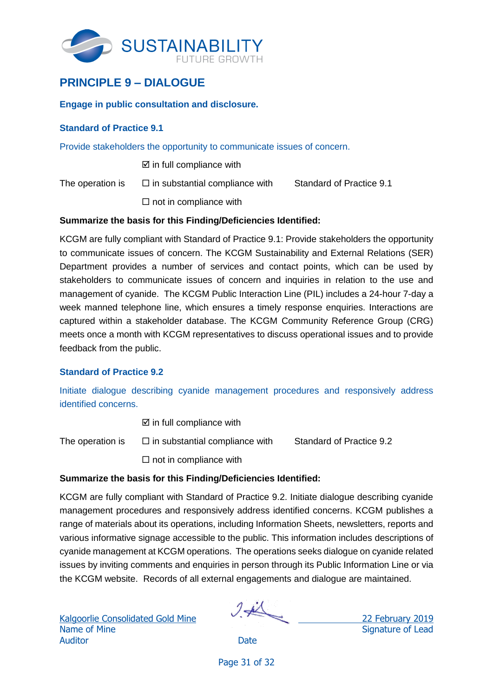

## <span id="page-33-0"></span>**PRINCIPLE 9 – DIALOGUE**

### **Engage in public consultation and disclosure.**

### <span id="page-33-1"></span>**Standard of Practice 9.1**

Provide stakeholders the opportunity to communicate issues of concern.

 $\boxtimes$  in full compliance with

The operation is  $\Box$  in substantial compliance with Standard of Practice 9.1

 $\Box$  not in compliance with

### **Summarize the basis for this Finding/Deficiencies Identified:**

KCGM are fully compliant with Standard of Practice 9.1: Provide stakeholders the opportunity to communicate issues of concern. The KCGM Sustainability and External Relations (SER) Department provides a number of services and contact points, which can be used by stakeholders to communicate issues of concern and inquiries in relation to the use and management of cyanide. The KCGM Public Interaction Line (PIL) includes a 24-hour 7-day a week manned telephone line, which ensures a timely response enquiries. Interactions are captured within a stakeholder database. The KCGM Community Reference Group (CRG) meets once a month with KCGM representatives to discuss operational issues and to provide feedback from the public.

## <span id="page-33-2"></span>**Standard of Practice 9.2**

Initiate dialogue describing cyanide management procedures and responsively address identified concerns.

 $\boxtimes$  in full compliance with

The operation is  $\square$  in substantial compliance with Standard of Practice 9.2

 $\square$  not in compliance with

### **Summarize the basis for this Finding/Deficiencies Identified:**

KCGM are fully compliant with Standard of Practice 9.2. Initiate dialogue describing cyanide management procedures and responsively address identified concerns. KCGM publishes a range of materials about its operations, including Information Sheets, newsletters, reports and various informative signage accessible to the public. This information includes descriptions of cyanide management at KCGM operations. The operations seeks dialogue on cyanide related issues by inviting comments and enquiries in person through its Public Information Line or via the KCGM website. Records of all external engagements and dialogue are maintained.